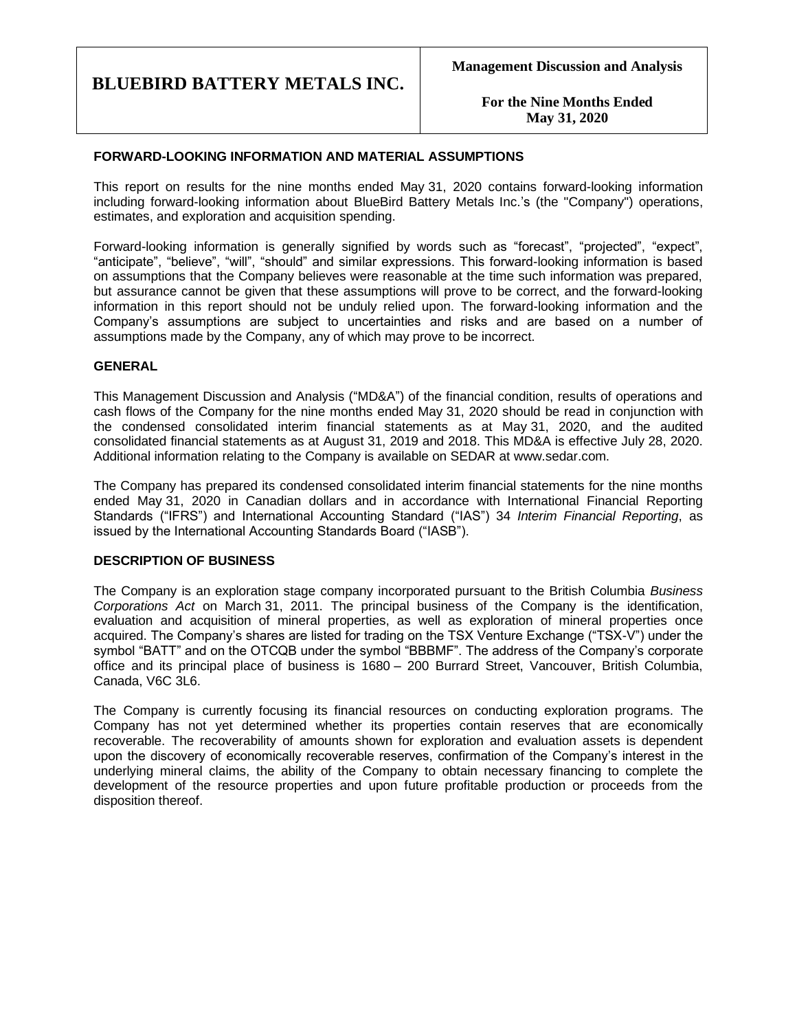**For the Nine Months Ended May 31, 2020**

### **FORWARD-LOOKING INFORMATION AND MATERIAL ASSUMPTIONS**

This report on results for the nine months ended May 31, 2020 contains forward-looking information including forward-looking information about BlueBird Battery Metals Inc.'s (the "Company") operations, estimates, and exploration and acquisition spending.

Forward-looking information is generally signified by words such as "forecast", "projected", "expect", "anticipate", "believe", "will", "should" and similar expressions. This forward-looking information is based on assumptions that the Company believes were reasonable at the time such information was prepared, but assurance cannot be given that these assumptions will prove to be correct, and the forward-looking information in this report should not be unduly relied upon. The forward-looking information and the Company's assumptions are subject to uncertainties and risks and are based on a number of assumptions made by the Company, any of which may prove to be incorrect.

### **GENERAL**

This Management Discussion and Analysis ("MD&A") of the financial condition, results of operations and cash flows of the Company for the nine months ended May 31, 2020 should be read in conjunction with the condensed consolidated interim financial statements as at May 31, 2020, and the audited consolidated financial statements as at August 31, 2019 and 2018. This MD&A is effective July 28, 2020. Additional information relating to the Company is available on SEDAR at www.sedar.com.

The Company has prepared its condensed consolidated interim financial statements for the nine months ended May 31, 2020 in Canadian dollars and in accordance with International Financial Reporting Standards ("IFRS") and International Accounting Standard ("IAS") 34 *Interim Financial Reporting*, as issued by the International Accounting Standards Board ("IASB").

### **DESCRIPTION OF BUSINESS**

The Company is an exploration stage company incorporated pursuant to the British Columbia *Business Corporations Act* on March 31, 2011. The principal business of the Company is the identification, evaluation and acquisition of mineral properties, as well as exploration of mineral properties once acquired. The Company's shares are listed for trading on the TSX Venture Exchange ("TSX-V") under the symbol "BATT" and on the OTCQB under the symbol "BBBMF". The address of the Company's corporate office and its principal place of business is 1680 – 200 Burrard Street, Vancouver, British Columbia, Canada, V6C 3L6.

The Company is currently focusing its financial resources on conducting exploration programs. The Company has not yet determined whether its properties contain reserves that are economically recoverable. The recoverability of amounts shown for exploration and evaluation assets is dependent upon the discovery of economically recoverable reserves, confirmation of the Company's interest in the underlying mineral claims, the ability of the Company to obtain necessary financing to complete the development of the resource properties and upon future profitable production or proceeds from the disposition thereof.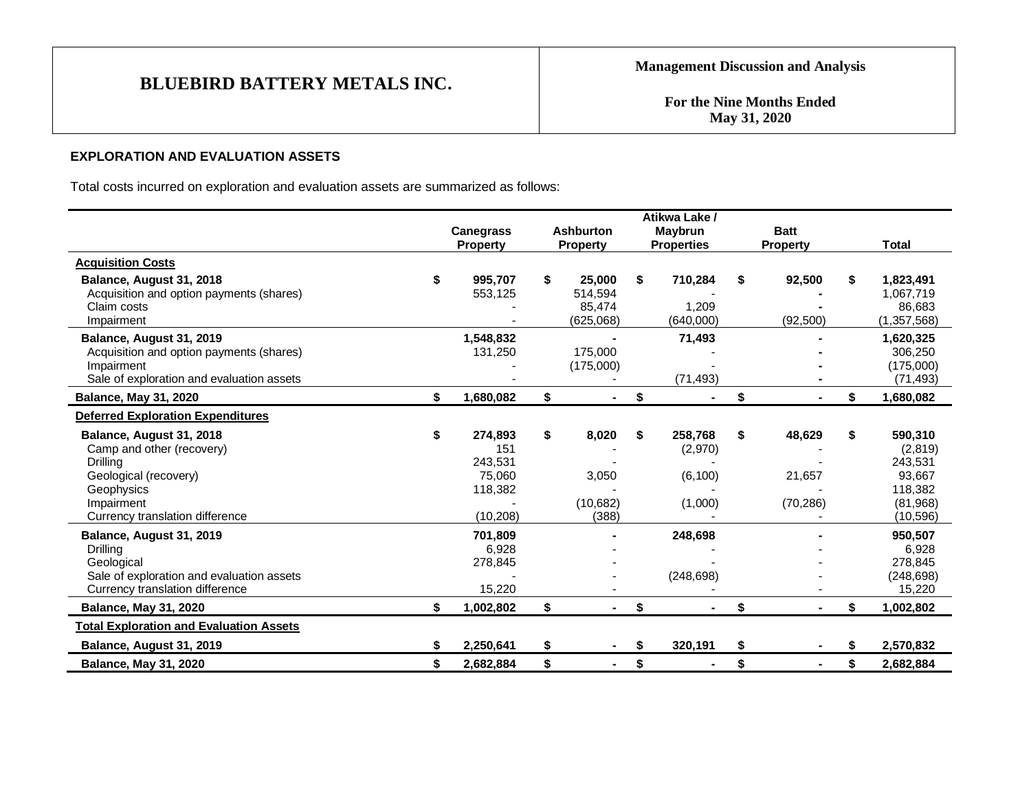**For the Nine Months Ended May 31, 2020**

# **EXPLORATION AND EVALUATION ASSETS**

Total costs incurred on exploration and evaluation assets are summarized as follows:

|                                                |                  |                      | Atikwa Lake /     |              |                 |
|------------------------------------------------|------------------|----------------------|-------------------|--------------|-----------------|
|                                                | <b>Canegrass</b> | <b>Ashburton</b>     | Maybrun           | <b>Batt</b>  |                 |
|                                                | <b>Property</b>  | <b>Property</b>      | <b>Properties</b> | Property     | <b>Total</b>    |
| <b>Acquisition Costs</b>                       |                  |                      |                   |              |                 |
| Balance, August 31, 2018                       | \$<br>995,707    | \$<br>25,000         | \$<br>710,284     | 92,500       | \$<br>1,823,491 |
| Acquisition and option payments (shares)       | 553,125          | 514,594              |                   |              | 1,067,719       |
| Claim costs                                    |                  | 85,474               | 1,209             |              | 86,683          |
| Impairment                                     |                  | (625,068)            | (640,000)         | (92, 500)    | (1, 357, 568)   |
| Balance, August 31, 2019                       | 1,548,832        |                      | 71,493            |              | 1,620,325       |
| Acquisition and option payments (shares)       | 131,250          | 175,000              |                   |              | 306,250         |
| Impairment                                     |                  | (175,000)            |                   |              | (175,000)       |
| Sale of exploration and evaluation assets      |                  |                      | (71, 493)         |              | (71, 493)       |
| <b>Balance, May 31, 2020</b>                   | \$<br>1,680,082  | \$                   | \$                | \$           | \$<br>1,680,082 |
| <b>Deferred Exploration Expenditures</b>       |                  |                      |                   |              |                 |
| Balance, August 31, 2018                       | \$<br>274,893    | \$<br>8,020          | \$<br>258,768     | \$<br>48,629 | \$<br>590,310   |
| Camp and other (recovery)                      | 151              |                      | (2,970)           |              | (2,819)         |
| <b>Drilling</b>                                | 243,531          |                      |                   |              | 243,531         |
| Geological (recovery)                          | 75.060           | 3,050                | (6, 100)          | 21,657       | 93,667          |
| Geophysics                                     | 118,382          |                      |                   |              | 118,382         |
| Impairment                                     |                  | (10,682)             | (1,000)           | (70, 286)    | (81,968)        |
| Currency translation difference                | (10, 208)        | (388)                |                   |              | (10, 596)       |
| Balance, August 31, 2019                       | 701,809          |                      | 248,698           |              | 950,507         |
| <b>Drilling</b>                                | 6,928            |                      |                   |              | 6,928           |
| Geological                                     | 278,845          |                      |                   |              | 278,845         |
| Sale of exploration and evaluation assets      |                  |                      | (248, 698)        |              | (248, 698)      |
| Currency translation difference                | 15,220           |                      |                   |              | 15,220          |
| <b>Balance, May 31, 2020</b>                   | 1,002,802        | \$                   | \$                | \$           | \$<br>1,002,802 |
| <b>Total Exploration and Evaluation Assets</b> |                  |                      |                   |              |                 |
| Balance, August 31, 2019                       | 2,250,641        | \$                   | \$<br>320,191     | \$           | \$<br>2,570,832 |
| <b>Balance, May 31, 2020</b>                   | \$<br>2,682,884  | \$<br>$\blacksquare$ | \$                | \$           | \$<br>2,682,884 |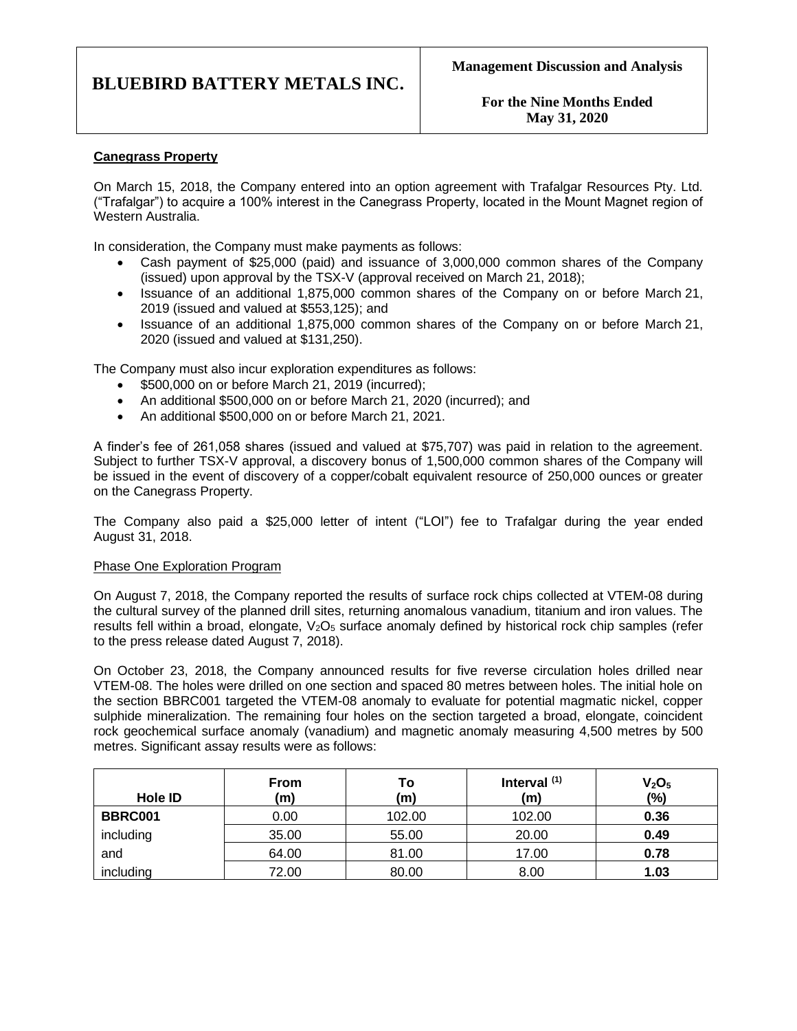**For the Nine Months Ended May 31, 2020**

## **Canegrass Property**

On March 15, 2018, the Company entered into an option agreement with Trafalgar Resources Pty. Ltd. ("Trafalgar") to acquire a 100% interest in the Canegrass Property, located in the Mount Magnet region of Western Australia.

In consideration, the Company must make payments as follows:

- Cash payment of \$25,000 (paid) and issuance of 3,000,000 common shares of the Company (issued) upon approval by the TSX-V (approval received on March 21, 2018);
- Issuance of an additional 1,875,000 common shares of the Company on or before March 21, 2019 (issued and valued at \$553,125); and
- Issuance of an additional 1,875,000 common shares of the Company on or before March 21, 2020 (issued and valued at \$131,250).

The Company must also incur exploration expenditures as follows:

- \$500,000 on or before March 21, 2019 (incurred);
- An additional \$500,000 on or before March 21, 2020 (incurred); and
- An additional \$500,000 on or before March 21, 2021.

A finder's fee of 261,058 shares (issued and valued at \$75,707) was paid in relation to the agreement. Subject to further TSX-V approval, a discovery bonus of 1,500,000 common shares of the Company will be issued in the event of discovery of a copper/cobalt equivalent resource of 250,000 ounces or greater on the Canegrass Property.

The Company also paid a \$25,000 letter of intent ("LOI") fee to Trafalgar during the year ended August 31, 2018.

### Phase One Exploration Program

On August 7, 2018, the Company reported the results of surface rock chips collected at VTEM-08 during the cultural survey of the planned drill sites, returning anomalous vanadium, titanium and iron values. The results fell within a broad, elongate,  $V_2O_5$  surface anomaly defined by historical rock chip samples (refer to the press release dated August 7, 2018).

On October 23, 2018, the Company announced results for five reverse circulation holes drilled near VTEM-08. The holes were drilled on one section and spaced 80 metres between holes. The initial hole on the section BBRC001 targeted the VTEM-08 anomaly to evaluate for potential magmatic nickel, copper sulphide mineralization. The remaining four holes on the section targeted a broad, elongate, coincident rock geochemical surface anomaly (vanadium) and magnetic anomaly measuring 4,500 metres by 500 metres. Significant assay results were as follows:

| Hole ID   | <b>From</b><br>(m) | To<br>(m) | Interval $(1)$<br>(m) | V <sub>2</sub> O <sub>5</sub><br>(%) |
|-----------|--------------------|-----------|-----------------------|--------------------------------------|
| BBRC001   | 0.00               | 102.00    | 102.00                | 0.36                                 |
| including | 35.00              | 55.00     | 20.00                 | 0.49                                 |
| and       | 64.00              | 81.00     | 17.00                 | 0.78                                 |
| including | 72.00              | 80.00     | 8.00                  | 1.03                                 |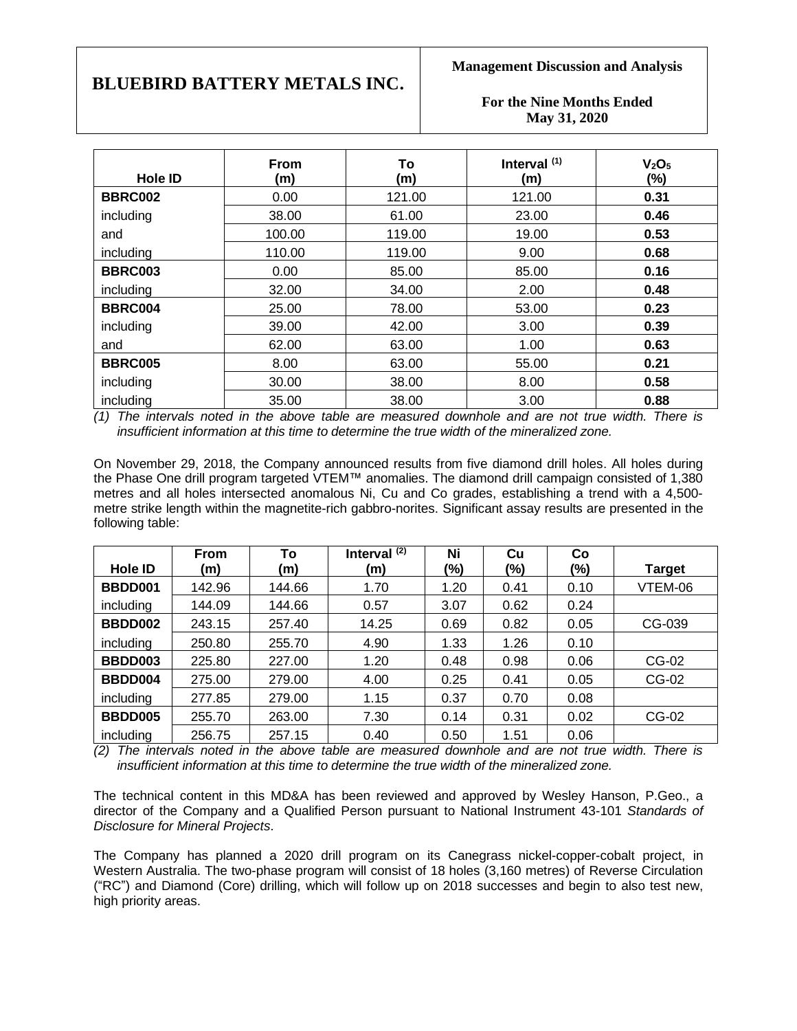**Management Discussion and Analysis**

**For the Nine Months Ended May 31, 2020**

| <b>Hole ID</b> | <b>From</b><br>(m) | To<br>(m) | Interval $(1)$<br>(m) | V <sub>2</sub> O <sub>5</sub><br>(%) |
|----------------|--------------------|-----------|-----------------------|--------------------------------------|
| BBRC002        | 0.00               | 121.00    | 121.00                | 0.31                                 |
| including      | 38.00              | 61.00     | 23.00                 | 0.46                                 |
| and            | 100.00             | 119.00    | 19.00                 | 0.53                                 |
| including      | 110.00             | 119.00    | 9.00                  | 0.68                                 |
| <b>BBRC003</b> | 0.00               | 85.00     | 85.00                 | 0.16                                 |
| including      | 32.00              | 34.00     | 2.00                  | 0.48                                 |
| <b>BBRC004</b> | 25.00              | 78.00     | 53.00                 | 0.23                                 |
| including      | 39.00              | 42.00     | 3.00                  | 0.39                                 |
| and            | 62.00              | 63.00     | 1.00                  | 0.63                                 |
| <b>BBRC005</b> | 8.00               | 63.00     | 55.00                 | 0.21                                 |
| including      | 30.00              | 38.00     | 8.00                  | 0.58                                 |
| including      | 35.00              | 38.00     | 3.00                  | 0.88                                 |

*(1) The intervals noted in the above table are measured downhole and are not true width. There is insufficient information at this time to determine the true width of the mineralized zone.*

On November 29, 2018, the Company announced results from five diamond drill holes. All holes during the Phase One drill program targeted VTEM™ anomalies. The diamond drill campaign consisted of 1,380 metres and all holes intersected anomalous Ni, Cu and Co grades, establishing a trend with a 4,500 metre strike length within the magnetite-rich gabbro-norites. Significant assay results are presented in the following table:

|                | <b>From</b> | To     | Interval $(2)$ | Ni   | Cu   | Co   |               |
|----------------|-------------|--------|----------------|------|------|------|---------------|
| Hole ID        | (m)         | (m)    | (m)            | (%)  | (%)  | (%)  | <b>Target</b> |
| BBDD001        | 142.96      | 144.66 | 1.70           | 1.20 | 0.41 | 0.10 | VTEM-06       |
| including      | 144.09      | 144.66 | 0.57           | 3.07 | 0.62 | 0.24 |               |
| <b>BBDD002</b> | 243.15      | 257.40 | 14.25          | 0.69 | 0.82 | 0.05 | CG-039        |
| including      | 250.80      | 255.70 | 4.90           | 1.33 | 1.26 | 0.10 |               |
| <b>BBDD003</b> | 225.80      | 227.00 | 1.20           | 0.48 | 0.98 | 0.06 | CG-02         |
| BBDD004        | 275.00      | 279.00 | 4.00           | 0.25 | 0.41 | 0.05 | CG-02         |
| including      | 277.85      | 279.00 | 1.15           | 0.37 | 0.70 | 0.08 |               |
| BBDD005        | 255.70      | 263.00 | 7.30           | 0.14 | 0.31 | 0.02 | CG-02         |
| including      | 256.75      | 257.15 | 0.40           | 0.50 | 1.51 | 0.06 |               |

*(2) The intervals noted in the above table are measured downhole and are not true width. There is insufficient information at this time to determine the true width of the mineralized zone.*

The technical content in this MD&A has been reviewed and approved by Wesley Hanson, P.Geo., a director of the Company and a Qualified Person pursuant to National Instrument 43-101 *Standards of Disclosure for Mineral Projects*.

The Company has planned a 2020 drill program on its Canegrass nickel-copper-cobalt project, in Western Australia. The two-phase program will consist of 18 holes (3,160 metres) of Reverse Circulation ("RC") and Diamond (Core) drilling, which will follow up on 2018 successes and begin to also test new, high priority areas.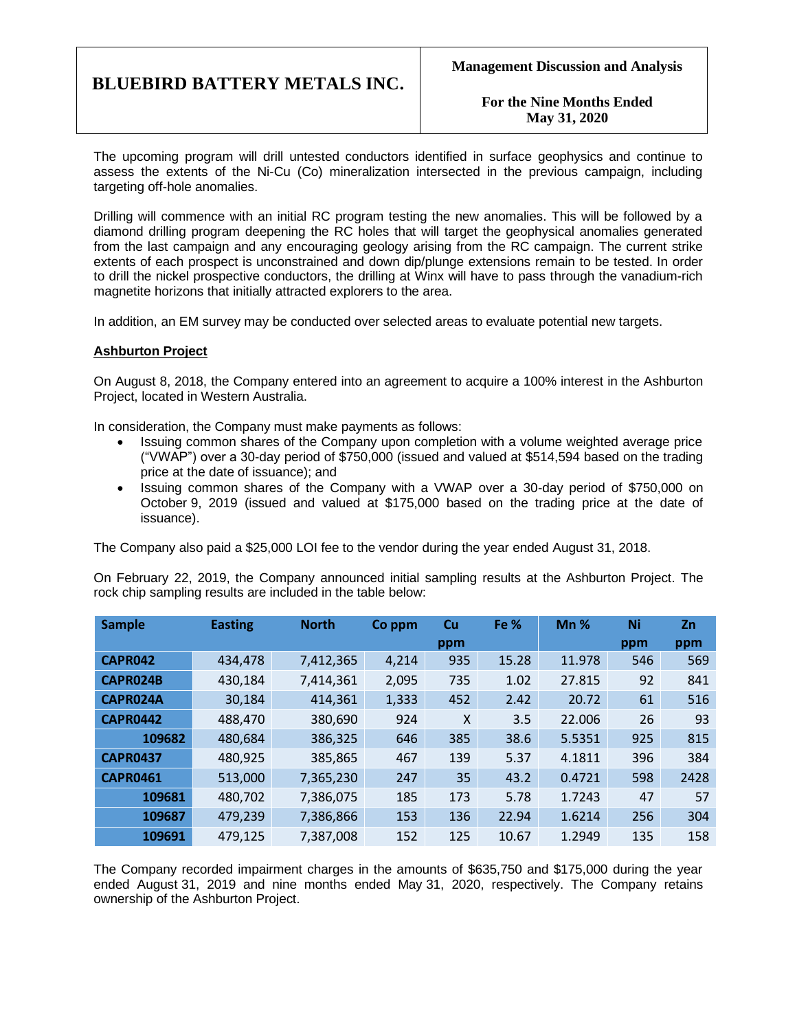**For the Nine Months Ended May 31, 2020**

The upcoming program will drill untested conductors identified in surface geophysics and continue to assess the extents of the Ni-Cu (Co) mineralization intersected in the previous campaign, including targeting off-hole anomalies.

Drilling will commence with an initial RC program testing the new anomalies. This will be followed by a diamond drilling program deepening the RC holes that will target the geophysical anomalies generated from the last campaign and any encouraging geology arising from the RC campaign. The current strike extents of each prospect is unconstrained and down dip/plunge extensions remain to be tested. In order to drill the nickel prospective conductors, the drilling at Winx will have to pass through the vanadium-rich magnetite horizons that initially attracted explorers to the area.

In addition, an EM survey may be conducted over selected areas to evaluate potential new targets.

### **Ashburton Project**

On August 8, 2018, the Company entered into an agreement to acquire a 100% interest in the Ashburton Project, located in Western Australia.

In consideration, the Company must make payments as follows:

- Issuing common shares of the Company upon completion with a volume weighted average price ("VWAP") over a 30-day period of \$750,000 (issued and valued at \$514,594 based on the trading price at the date of issuance); and
- Issuing common shares of the Company with a VWAP over a 30-day period of \$750,000 on October 9, 2019 (issued and valued at \$175,000 based on the trading price at the date of issuance).

The Company also paid a \$25,000 LOI fee to the vendor during the year ended August 31, 2018.

On February 22, 2019, the Company announced initial sampling results at the Ashburton Project. The rock chip sampling results are included in the table below:

| <b>Sample</b>   | <b>Easting</b> | <b>North</b> | Co ppm | Cu<br>ppm | Fe %  | $Mn$ % | Ni<br>ppm | <b>Zn</b><br>ppm |
|-----------------|----------------|--------------|--------|-----------|-------|--------|-----------|------------------|
| <b>CAPR042</b>  | 434,478        | 7,412,365    | 4,214  | 935       | 15.28 | 11.978 | 546       | 569              |
| CAPR024B        | 430,184        | 7,414,361    | 2,095  | 735       | 1.02  | 27.815 | 92        | 841              |
| CAPR024A        | 30,184         | 414,361      | 1,333  | 452       | 2.42  | 20.72  | 61        | 516              |
| <b>CAPR0442</b> | 488,470        | 380,690      | 924    | X         | 3.5   | 22.006 | 26        | 93               |
| 109682          | 480,684        | 386,325      | 646    | 385       | 38.6  | 5.5351 | 925       | 815              |
| <b>CAPR0437</b> | 480,925        | 385,865      | 467    | 139       | 5.37  | 4.1811 | 396       | 384              |
| <b>CAPR0461</b> | 513,000        | 7,365,230    | 247    | 35        | 43.2  | 0.4721 | 598       | 2428             |
| 109681          | 480,702        | 7,386,075    | 185    | 173       | 5.78  | 1.7243 | 47        | 57               |
| 109687          | 479,239        | 7,386,866    | 153    | 136       | 22.94 | 1.6214 | 256       | 304              |
| 109691          | 479,125        | 7,387,008    | 152    | 125       | 10.67 | 1.2949 | 135       | 158              |

The Company recorded impairment charges in the amounts of \$635,750 and \$175,000 during the year ended August 31, 2019 and nine months ended May 31, 2020, respectively. The Company retains ownership of the Ashburton Project.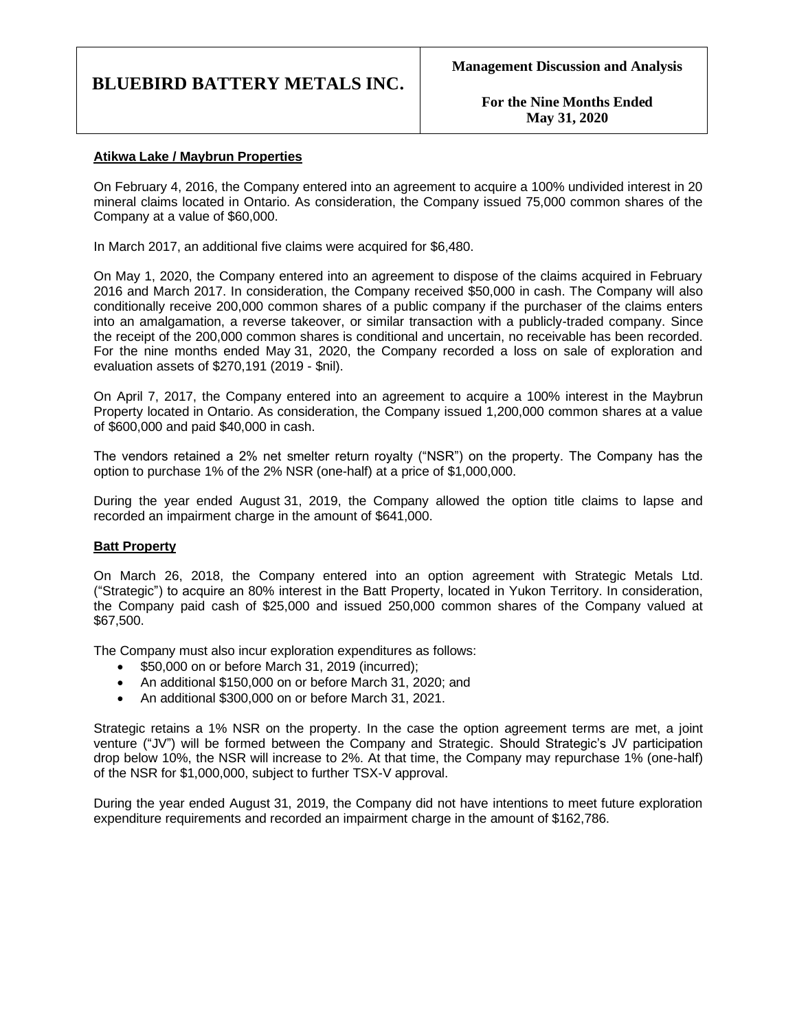**For the Nine Months Ended May 31, 2020**

## **Atikwa Lake / Maybrun Properties**

On February 4, 2016, the Company entered into an agreement to acquire a 100% undivided interest in 20 mineral claims located in Ontario. As consideration, the Company issued 75,000 common shares of the Company at a value of \$60,000.

In March 2017, an additional five claims were acquired for \$6,480.

On May 1, 2020, the Company entered into an agreement to dispose of the claims acquired in February 2016 and March 2017. In consideration, the Company received \$50,000 in cash. The Company will also conditionally receive 200,000 common shares of a public company if the purchaser of the claims enters into an amalgamation, a reverse takeover, or similar transaction with a publicly-traded company. Since the receipt of the 200,000 common shares is conditional and uncertain, no receivable has been recorded. For the nine months ended May 31, 2020, the Company recorded a loss on sale of exploration and evaluation assets of \$270,191 (2019 - \$nil).

On April 7, 2017, the Company entered into an agreement to acquire a 100% interest in the Maybrun Property located in Ontario. As consideration, the Company issued 1,200,000 common shares at a value of \$600,000 and paid \$40,000 in cash.

The vendors retained a 2% net smelter return royalty ("NSR") on the property. The Company has the option to purchase 1% of the 2% NSR (one-half) at a price of \$1,000,000.

During the year ended August 31, 2019, the Company allowed the option title claims to lapse and recorded an impairment charge in the amount of \$641,000.

### **Batt Property**

On March 26, 2018, the Company entered into an option agreement with Strategic Metals Ltd. ("Strategic") to acquire an 80% interest in the Batt Property, located in Yukon Territory. In consideration, the Company paid cash of \$25,000 and issued 250,000 common shares of the Company valued at \$67,500.

The Company must also incur exploration expenditures as follows:

- \$50,000 on or before March 31, 2019 (incurred);
- An additional \$150,000 on or before March 31, 2020; and
- An additional \$300,000 on or before March 31, 2021.

Strategic retains a 1% NSR on the property. In the case the option agreement terms are met, a joint venture ("JV") will be formed between the Company and Strategic. Should Strategic's JV participation drop below 10%, the NSR will increase to 2%. At that time, the Company may repurchase 1% (one-half) of the NSR for \$1,000,000, subject to further TSX-V approval.

During the year ended August 31, 2019, the Company did not have intentions to meet future exploration expenditure requirements and recorded an impairment charge in the amount of \$162,786.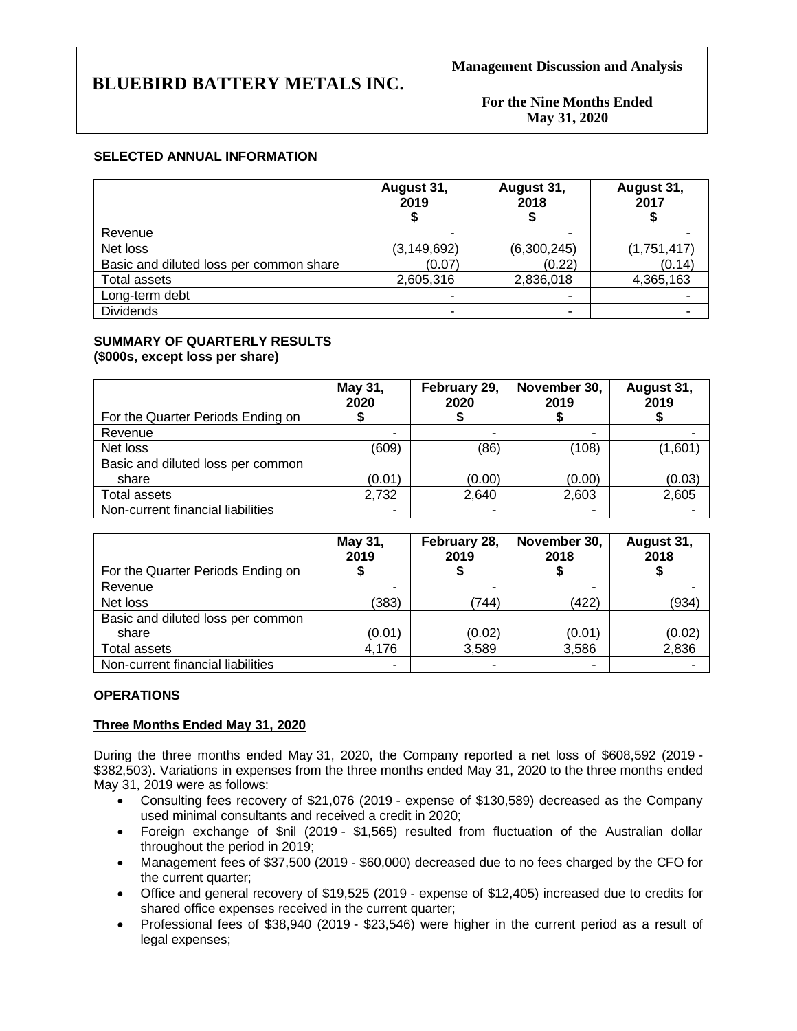**For the Nine Months Ended May 31, 2020**

### **SELECTED ANNUAL INFORMATION**

|                                         | August 31,<br>2019 | August 31,<br>2018 | August 31,<br>2017 |
|-----------------------------------------|--------------------|--------------------|--------------------|
| Revenue                                 |                    |                    |                    |
| Net loss                                | (3, 149, 692)      | (6,300,245)        | (1,751,417)        |
| Basic and diluted loss per common share | (0.07)             | (0.22)             | (0.14)             |
| <b>Total assets</b>                     | 2,605,316          | 2,836,018          | 4,365,163          |
| Long-term debt                          |                    |                    |                    |
| <b>Dividends</b>                        | ۰                  |                    |                    |

#### **SUMMARY OF QUARTERLY RESULTS (\$000s, except loss per share)**

| For the Quarter Periods Ending on          | May 31,<br>2020 | February 29,<br>2020 | November 30,<br>2019 | August 31,<br>2019 |
|--------------------------------------------|-----------------|----------------------|----------------------|--------------------|
| Revenue                                    | ۰               |                      |                      |                    |
| Net loss                                   | (609)           | (86)                 | (108)                | (1,601)            |
| Basic and diluted loss per common<br>share | (0.01)          | (0.00)               | (0.00)               | (0.03)             |
| Total assets                               | 2,732           | 2.640                | 2,603                | 2,605              |
| Non-current financial liabilities          | ٠               |                      |                      |                    |

| For the Quarter Periods Ending on | May 31,<br>2019 | February 28,<br>2019 | November 30,<br>2018 | August 31,<br>2018 |
|-----------------------------------|-----------------|----------------------|----------------------|--------------------|
| Revenue                           | -               | ۰                    |                      |                    |
| Net loss                          | (383)           | '744)                | (422)                | (934)              |
| Basic and diluted loss per common |                 |                      |                      |                    |
| share                             | (0.01)          | (0.02)               | (0.01)               | (0.02)             |
|                                   |                 |                      |                      |                    |
| Total assets                      | 4,176           | 3,589                | 3,586                | 2,836              |
| Non-current financial liabilities | ۰               | ۰                    |                      |                    |

## **OPERATIONS**

### **Three Months Ended May 31, 2020**

During the three months ended May 31, 2020, the Company reported a net loss of \$608,592 (2019 - \$382,503). Variations in expenses from the three months ended May 31, 2020 to the three months ended May 31, 2019 were as follows:

- Consulting fees recovery of \$21,076 (2019 expense of \$130,589) decreased as the Company used minimal consultants and received a credit in 2020;
- Foreign exchange of \$nil (2019 \$1,565) resulted from fluctuation of the Australian dollar throughout the period in 2019;
- Management fees of \$37,500 (2019 \$60,000) decreased due to no fees charged by the CFO for the current quarter;
- Office and general recovery of \$19,525 (2019 expense of \$12,405) increased due to credits for shared office expenses received in the current quarter;
- Professional fees of \$38,940 (2019 \$23,546) were higher in the current period as a result of legal expenses;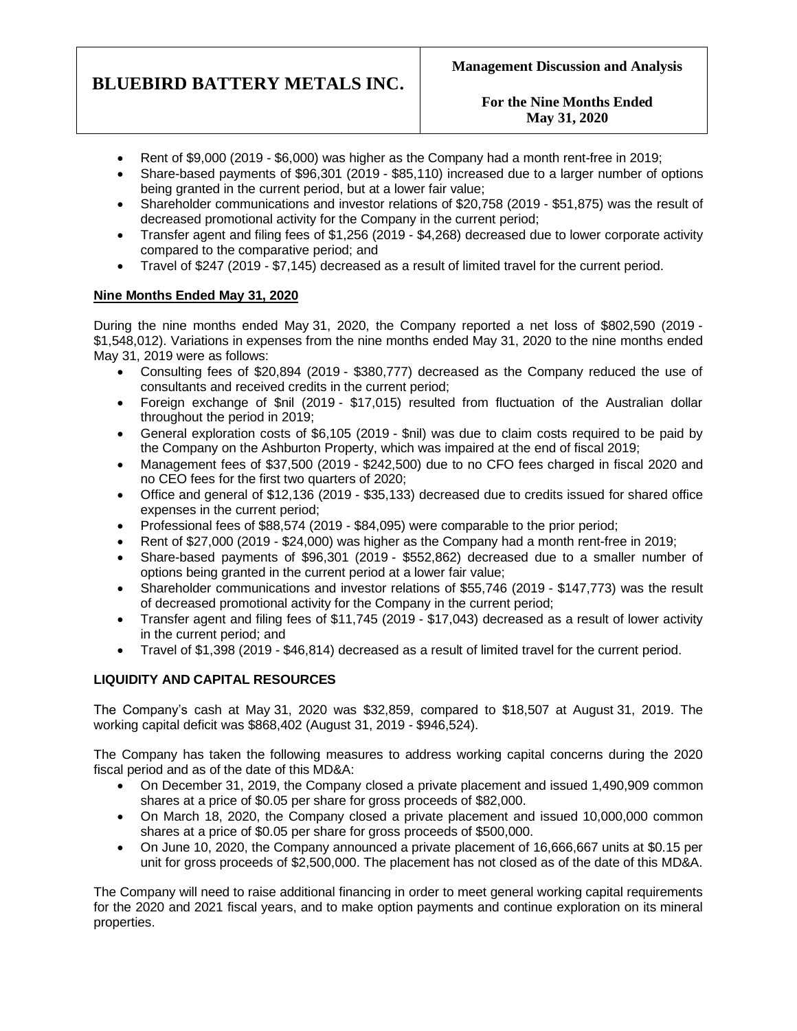**For the Nine Months Ended May 31, 2020**

- Rent of \$9,000 (2019 \$6,000) was higher as the Company had a month rent-free in 2019;
- Share-based payments of \$96,301 (2019 \$85,110) increased due to a larger number of options being granted in the current period, but at a lower fair value;
- Shareholder communications and investor relations of \$20,758 (2019 \$51,875) was the result of decreased promotional activity for the Company in the current period;
- Transfer agent and filing fees of \$1,256 (2019 \$4,268) decreased due to lower corporate activity compared to the comparative period; and
- Travel of \$247 (2019 \$7,145) decreased as a result of limited travel for the current period.

## **Nine Months Ended May 31, 2020**

During the nine months ended May 31, 2020, the Company reported a net loss of \$802,590 (2019 - \$1,548,012). Variations in expenses from the nine months ended May 31, 2020 to the nine months ended May 31, 2019 were as follows:

- Consulting fees of \$20,894 (2019 \$380,777) decreased as the Company reduced the use of consultants and received credits in the current period;
- Foreign exchange of \$nil (2019 \$17,015) resulted from fluctuation of the Australian dollar throughout the period in 2019;
- General exploration costs of \$6,105 (2019 \$nil) was due to claim costs required to be paid by the Company on the Ashburton Property, which was impaired at the end of fiscal 2019;
- Management fees of \$37,500 (2019 \$242,500) due to no CFO fees charged in fiscal 2020 and no CEO fees for the first two quarters of 2020;
- Office and general of \$12,136 (2019 \$35,133) decreased due to credits issued for shared office expenses in the current period;
- Professional fees of \$88,574 (2019 \$84,095) were comparable to the prior period;
- Rent of \$27,000 (2019 \$24,000) was higher as the Company had a month rent-free in 2019;
- Share-based payments of \$96,301 (2019 \$552,862) decreased due to a smaller number of options being granted in the current period at a lower fair value;
- Shareholder communications and investor relations of \$55,746 (2019 \$147,773) was the result of decreased promotional activity for the Company in the current period;
- Transfer agent and filing fees of \$11,745 (2019 \$17,043) decreased as a result of lower activity in the current period; and
- Travel of \$1,398 (2019 \$46,814) decreased as a result of limited travel for the current period.

# **LIQUIDITY AND CAPITAL RESOURCES**

The Company's cash at May 31, 2020 was \$32,859, compared to \$18,507 at August 31, 2019. The working capital deficit was \$868,402 (August 31, 2019 - \$946,524).

The Company has taken the following measures to address working capital concerns during the 2020 fiscal period and as of the date of this MD&A:

- On December 31, 2019, the Company closed a private placement and issued 1,490,909 common shares at a price of \$0.05 per share for gross proceeds of \$82,000.
- On March 18, 2020, the Company closed a private placement and issued 10,000,000 common shares at a price of \$0.05 per share for gross proceeds of \$500,000.
- On June 10, 2020, the Company announced a private placement of 16,666,667 units at \$0.15 per unit for gross proceeds of \$2,500,000. The placement has not closed as of the date of this MD&A.

The Company will need to raise additional financing in order to meet general working capital requirements for the 2020 and 2021 fiscal years, and to make option payments and continue exploration on its mineral properties.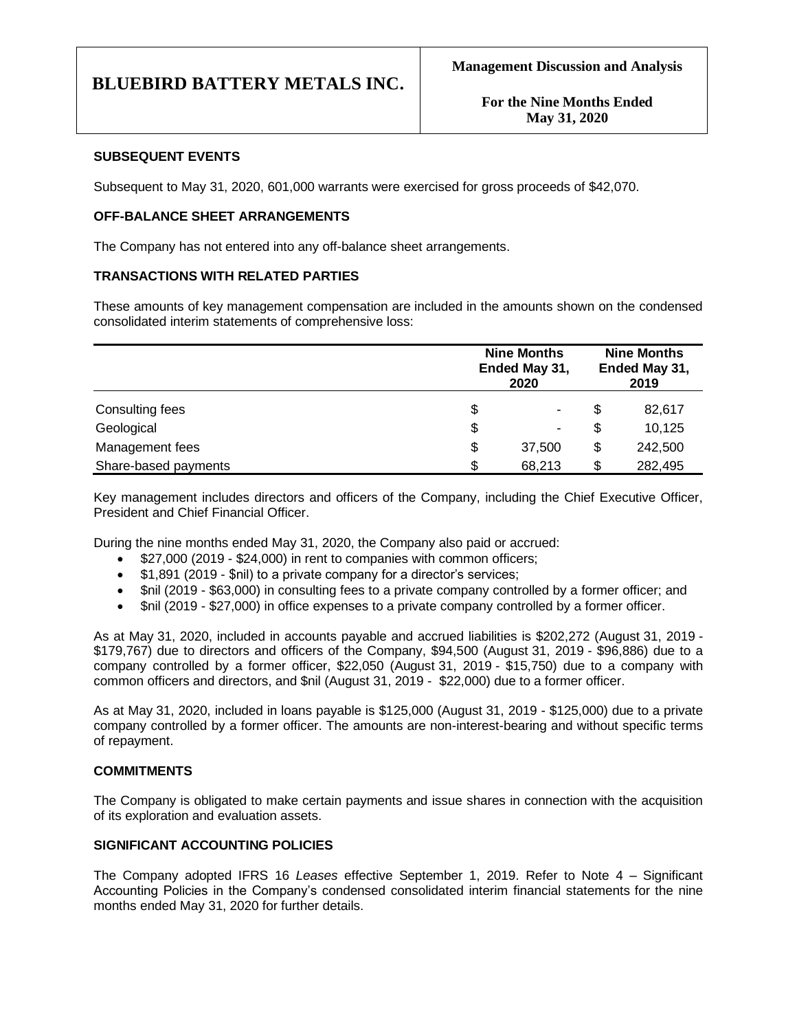### **SUBSEQUENT EVENTS**

Subsequent to May 31, 2020, 601,000 warrants were exercised for gross proceeds of \$42,070.

### **OFF-BALANCE SHEET ARRANGEMENTS**

The Company has not entered into any off-balance sheet arrangements.

### **TRANSACTIONS WITH RELATED PARTIES**

These amounts of key management compensation are included in the amounts shown on the condensed consolidated interim statements of comprehensive loss:

|                      | <b>Nine Months</b><br>Ended May 31,<br>2020 | <b>Nine Months</b><br>Ended May 31,<br>2019 |         |  |
|----------------------|---------------------------------------------|---------------------------------------------|---------|--|
| Consulting fees      | \$<br>۰                                     | \$                                          | 82,617  |  |
| Geological           | \$<br>۰                                     | S                                           | 10,125  |  |
| Management fees      | \$<br>37,500                                | \$                                          | 242,500 |  |
| Share-based payments | \$<br>68,213                                | \$                                          | 282,495 |  |

Key management includes directors and officers of the Company, including the Chief Executive Officer, President and Chief Financial Officer.

During the nine months ended May 31, 2020, the Company also paid or accrued:

- \$27,000 (2019 \$24,000) in rent to companies with common officers;
- \$1,891 (2019 \$nil) to a private company for a director's services;
- \$nil (2019 \$63,000) in consulting fees to a private company controlled by a former officer; and
- \$nil (2019 \$27,000) in office expenses to a private company controlled by a former officer.

As at May 31, 2020, included in accounts payable and accrued liabilities is \$202,272 (August 31, 2019 - \$179,767) due to directors and officers of the Company, \$94,500 (August 31, 2019 - \$96,886) due to a company controlled by a former officer, \$22,050 (August 31, 2019 - \$15,750) due to a company with common officers and directors, and \$nil (August 31, 2019 - \$22,000) due to a former officer.

As at May 31, 2020, included in loans payable is \$125,000 (August 31, 2019 - \$125,000) due to a private company controlled by a former officer. The amounts are non-interest-bearing and without specific terms of repayment.

## **COMMITMENTS**

The Company is obligated to make certain payments and issue shares in connection with the acquisition of its exploration and evaluation assets.

### **SIGNIFICANT ACCOUNTING POLICIES**

The Company adopted IFRS 16 *Leases* effective September 1, 2019. Refer to Note 4 – Significant Accounting Policies in the Company's condensed consolidated interim financial statements for the nine months ended May 31, 2020 for further details.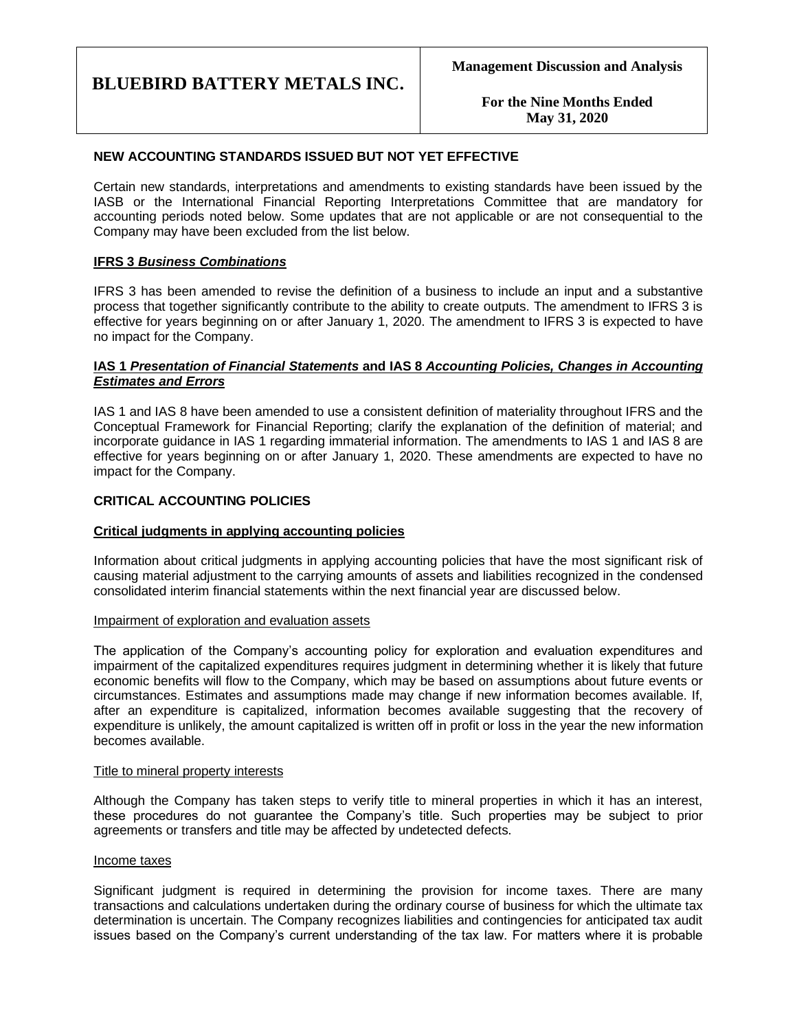**For the Nine Months Ended May 31, 2020**

### **NEW ACCOUNTING STANDARDS ISSUED BUT NOT YET EFFECTIVE**

Certain new standards, interpretations and amendments to existing standards have been issued by the IASB or the International Financial Reporting Interpretations Committee that are mandatory for accounting periods noted below. Some updates that are not applicable or are not consequential to the Company may have been excluded from the list below.

### **IFRS 3** *Business Combinations*

IFRS 3 has been amended to revise the definition of a business to include an input and a substantive process that together significantly contribute to the ability to create outputs. The amendment to IFRS 3 is effective for years beginning on or after January 1, 2020. The amendment to IFRS 3 is expected to have no impact for the Company.

### **IAS 1** *Presentation of Financial Statements* **and IAS 8** *Accounting Policies, Changes in Accounting Estimates and Errors*

IAS 1 and IAS 8 have been amended to use a consistent definition of materiality throughout IFRS and the Conceptual Framework for Financial Reporting; clarify the explanation of the definition of material; and incorporate guidance in IAS 1 regarding immaterial information. The amendments to IAS 1 and IAS 8 are effective for years beginning on or after January 1, 2020. These amendments are expected to have no impact for the Company.

### **CRITICAL ACCOUNTING POLICIES**

### **Critical judgments in applying accounting policies**

Information about critical judgments in applying accounting policies that have the most significant risk of causing material adjustment to the carrying amounts of assets and liabilities recognized in the condensed consolidated interim financial statements within the next financial year are discussed below.

### Impairment of exploration and evaluation assets

The application of the Company's accounting policy for exploration and evaluation expenditures and impairment of the capitalized expenditures requires judgment in determining whether it is likely that future economic benefits will flow to the Company, which may be based on assumptions about future events or circumstances. Estimates and assumptions made may change if new information becomes available. If, after an expenditure is capitalized, information becomes available suggesting that the recovery of expenditure is unlikely, the amount capitalized is written off in profit or loss in the year the new information becomes available.

### Title to mineral property interests

Although the Company has taken steps to verify title to mineral properties in which it has an interest, these procedures do not guarantee the Company's title. Such properties may be subject to prior agreements or transfers and title may be affected by undetected defects.

#### Income taxes

Significant judgment is required in determining the provision for income taxes. There are many transactions and calculations undertaken during the ordinary course of business for which the ultimate tax determination is uncertain. The Company recognizes liabilities and contingencies for anticipated tax audit issues based on the Company's current understanding of the tax law. For matters where it is probable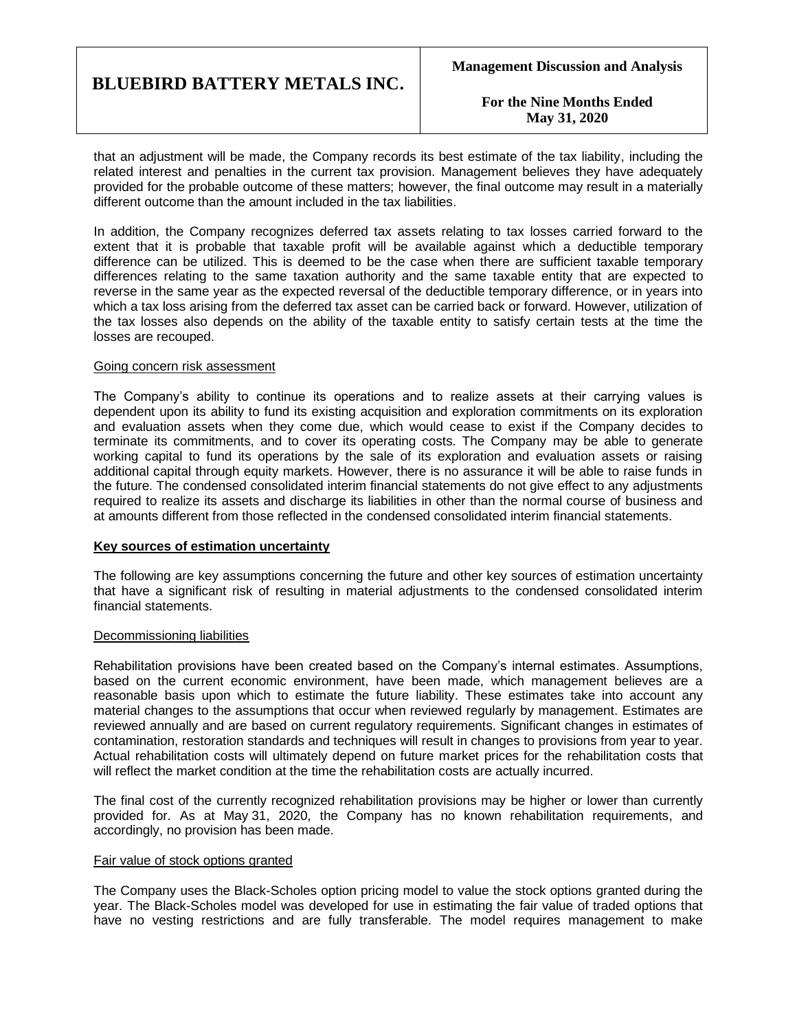**For the Nine Months Ended May 31, 2020**

that an adjustment will be made, the Company records its best estimate of the tax liability, including the related interest and penalties in the current tax provision. Management believes they have adequately provided for the probable outcome of these matters; however, the final outcome may result in a materially different outcome than the amount included in the tax liabilities.

In addition, the Company recognizes deferred tax assets relating to tax losses carried forward to the extent that it is probable that taxable profit will be available against which a deductible temporary difference can be utilized. This is deemed to be the case when there are sufficient taxable temporary differences relating to the same taxation authority and the same taxable entity that are expected to reverse in the same year as the expected reversal of the deductible temporary difference, or in years into which a tax loss arising from the deferred tax asset can be carried back or forward. However, utilization of the tax losses also depends on the ability of the taxable entity to satisfy certain tests at the time the losses are recouped.

#### Going concern risk assessment

The Company's ability to continue its operations and to realize assets at their carrying values is dependent upon its ability to fund its existing acquisition and exploration commitments on its exploration and evaluation assets when they come due, which would cease to exist if the Company decides to terminate its commitments, and to cover its operating costs. The Company may be able to generate working capital to fund its operations by the sale of its exploration and evaluation assets or raising additional capital through equity markets. However, there is no assurance it will be able to raise funds in the future. The condensed consolidated interim financial statements do not give effect to any adjustments required to realize its assets and discharge its liabilities in other than the normal course of business and at amounts different from those reflected in the condensed consolidated interim financial statements.

### **Key sources of estimation uncertainty**

The following are key assumptions concerning the future and other key sources of estimation uncertainty that have a significant risk of resulting in material adjustments to the condensed consolidated interim financial statements.

### Decommissioning liabilities

Rehabilitation provisions have been created based on the Company's internal estimates. Assumptions, based on the current economic environment, have been made, which management believes are a reasonable basis upon which to estimate the future liability. These estimates take into account any material changes to the assumptions that occur when reviewed regularly by management. Estimates are reviewed annually and are based on current regulatory requirements. Significant changes in estimates of contamination, restoration standards and techniques will result in changes to provisions from year to year. Actual rehabilitation costs will ultimately depend on future market prices for the rehabilitation costs that will reflect the market condition at the time the rehabilitation costs are actually incurred.

The final cost of the currently recognized rehabilitation provisions may be higher or lower than currently provided for. As at May 31, 2020, the Company has no known rehabilitation requirements, and accordingly, no provision has been made.

#### Fair value of stock options granted

The Company uses the Black-Scholes option pricing model to value the stock options granted during the year. The Black-Scholes model was developed for use in estimating the fair value of traded options that have no vesting restrictions and are fully transferable. The model requires management to make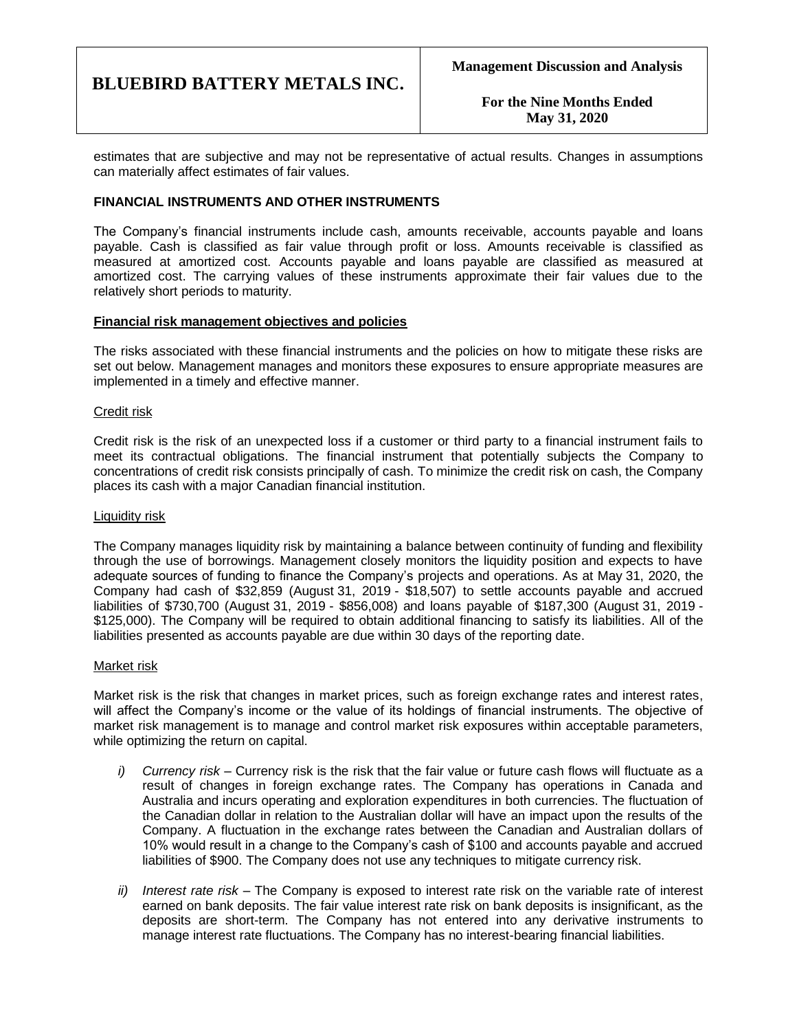**For the Nine Months Ended May 31, 2020**

estimates that are subjective and may not be representative of actual results. Changes in assumptions can materially affect estimates of fair values.

### **FINANCIAL INSTRUMENTS AND OTHER INSTRUMENTS**

The Company's financial instruments include cash, amounts receivable, accounts payable and loans payable. Cash is classified as fair value through profit or loss. Amounts receivable is classified as measured at amortized cost. Accounts payable and loans payable are classified as measured at amortized cost. The carrying values of these instruments approximate their fair values due to the relatively short periods to maturity.

### **Financial risk management objectives and policies**

The risks associated with these financial instruments and the policies on how to mitigate these risks are set out below. Management manages and monitors these exposures to ensure appropriate measures are implemented in a timely and effective manner.

### Credit risk

Credit risk is the risk of an unexpected loss if a customer or third party to a financial instrument fails to meet its contractual obligations. The financial instrument that potentially subjects the Company to concentrations of credit risk consists principally of cash. To minimize the credit risk on cash, the Company places its cash with a major Canadian financial institution.

### Liquidity risk

The Company manages liquidity risk by maintaining a balance between continuity of funding and flexibility through the use of borrowings. Management closely monitors the liquidity position and expects to have adequate sources of funding to finance the Company's projects and operations. As at May 31, 2020, the Company had cash of \$32,859 (August 31, 2019 - \$18,507) to settle accounts payable and accrued liabilities of \$730,700 (August 31, 2019 - \$856,008) and loans payable of \$187,300 (August 31, 2019 - \$125,000). The Company will be required to obtain additional financing to satisfy its liabilities. All of the liabilities presented as accounts payable are due within 30 days of the reporting date.

### Market risk

Market risk is the risk that changes in market prices, such as foreign exchange rates and interest rates, will affect the Company's income or the value of its holdings of financial instruments. The objective of market risk management is to manage and control market risk exposures within acceptable parameters, while optimizing the return on capital.

- *i) Currency risk –* Currency risk is the risk that the fair value or future cash flows will fluctuate as a result of changes in foreign exchange rates. The Company has operations in Canada and Australia and incurs operating and exploration expenditures in both currencies. The fluctuation of the Canadian dollar in relation to the Australian dollar will have an impact upon the results of the Company. A fluctuation in the exchange rates between the Canadian and Australian dollars of 10% would result in a change to the Company's cash of \$100 and accounts payable and accrued liabilities of \$900. The Company does not use any techniques to mitigate currency risk.
- *ii) Interest rate risk –* The Company is exposed to interest rate risk on the variable rate of interest earned on bank deposits. The fair value interest rate risk on bank deposits is insignificant, as the deposits are short-term. The Company has not entered into any derivative instruments to manage interest rate fluctuations. The Company has no interest-bearing financial liabilities.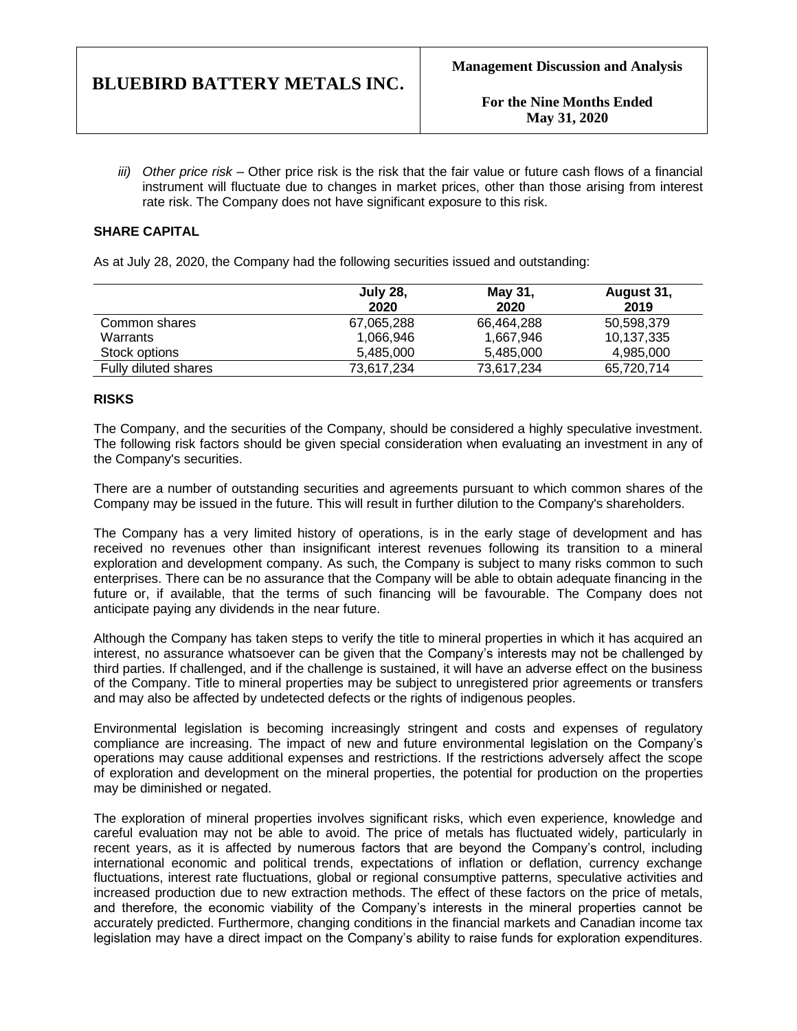*iii) Other price risk –* Other price risk is the risk that the fair value or future cash flows of a financial instrument will fluctuate due to changes in market prices, other than those arising from interest rate risk. The Company does not have significant exposure to this risk.

## **SHARE CAPITAL**

As at July 28, 2020, the Company had the following securities issued and outstanding:

|                      | <b>July 28,</b><br>2020 | May 31,<br>2020 | August 31,<br>2019 |
|----------------------|-------------------------|-----------------|--------------------|
| Common shares        | 67,065,288              | 66,464,288      | 50,598,379         |
| Warrants             | 1,066,946               | 1,667,946       | 10,137,335         |
| Stock options        | 5,485,000               | 5,485,000       | 4,985,000          |
| Fully diluted shares | 73,617,234              | 73,617,234      | 65,720,714         |

### **RISKS**

The Company, and the securities of the Company, should be considered a highly speculative investment. The following risk factors should be given special consideration when evaluating an investment in any of the Company's securities.

There are a number of outstanding securities and agreements pursuant to which common shares of the Company may be issued in the future. This will result in further dilution to the Company's shareholders.

The Company has a very limited history of operations, is in the early stage of development and has received no revenues other than insignificant interest revenues following its transition to a mineral exploration and development company. As such, the Company is subject to many risks common to such enterprises. There can be no assurance that the Company will be able to obtain adequate financing in the future or, if available, that the terms of such financing will be favourable. The Company does not anticipate paying any dividends in the near future.

Although the Company has taken steps to verify the title to mineral properties in which it has acquired an interest, no assurance whatsoever can be given that the Company's interests may not be challenged by third parties. If challenged, and if the challenge is sustained, it will have an adverse effect on the business of the Company. Title to mineral properties may be subject to unregistered prior agreements or transfers and may also be affected by undetected defects or the rights of indigenous peoples.

Environmental legislation is becoming increasingly stringent and costs and expenses of regulatory compliance are increasing. The impact of new and future environmental legislation on the Company's operations may cause additional expenses and restrictions. If the restrictions adversely affect the scope of exploration and development on the mineral properties, the potential for production on the properties may be diminished or negated.

The exploration of mineral properties involves significant risks, which even experience, knowledge and careful evaluation may not be able to avoid. The price of metals has fluctuated widely, particularly in recent years, as it is affected by numerous factors that are beyond the Company's control, including international economic and political trends, expectations of inflation or deflation, currency exchange fluctuations, interest rate fluctuations, global or regional consumptive patterns, speculative activities and increased production due to new extraction methods. The effect of these factors on the price of metals, and therefore, the economic viability of the Company's interests in the mineral properties cannot be accurately predicted. Furthermore, changing conditions in the financial markets and Canadian income tax legislation may have a direct impact on the Company's ability to raise funds for exploration expenditures.